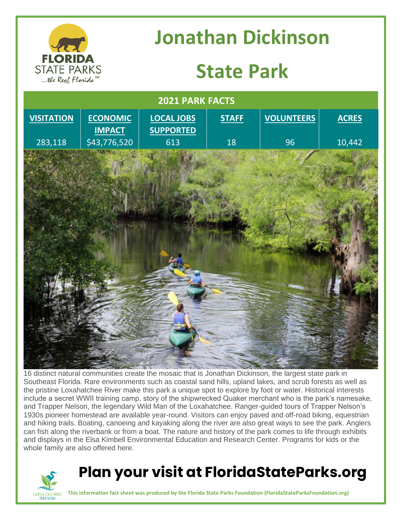

# **Jonathan Dickinson**

## **State Park**



16 distinct natural communities create the mosaic that is Jonathan Dickinson, the largest state park in Southeast Florida. Rare environments such as coastal sand hills, upland lakes, and scrub forests as well as the pristine Loxahatchee River make this park a unique spot to explore by foot or water. Historical interests include a secret WWII training camp, story of the shipwrecked Quaker merchant who is the park's namesake, and Trapper Nelson, the legendary Wild Man of the Loxahatchee. Ranger-guided tours of Trapper Nelson's 1930s pioneer homestead are available year-round. Visitors can enjoy paved and off-road biking, equestrian and hiking trails. Boating, canoeing and kayaking along the river are also great ways to see the park. Anglers can fish along the riverbank or from a boat. The nature and history of the park comes to life through exhibits and displays in the Elsa Kimbell Environmental Education and Research Center. Programs for kids or the whole family are also offered here.



### **Plan your visit at FloridaStateParks.org**

**This information fact sheet was produced by the Florida State Parks Foundation (FloridaStateParksFoundation.org)**